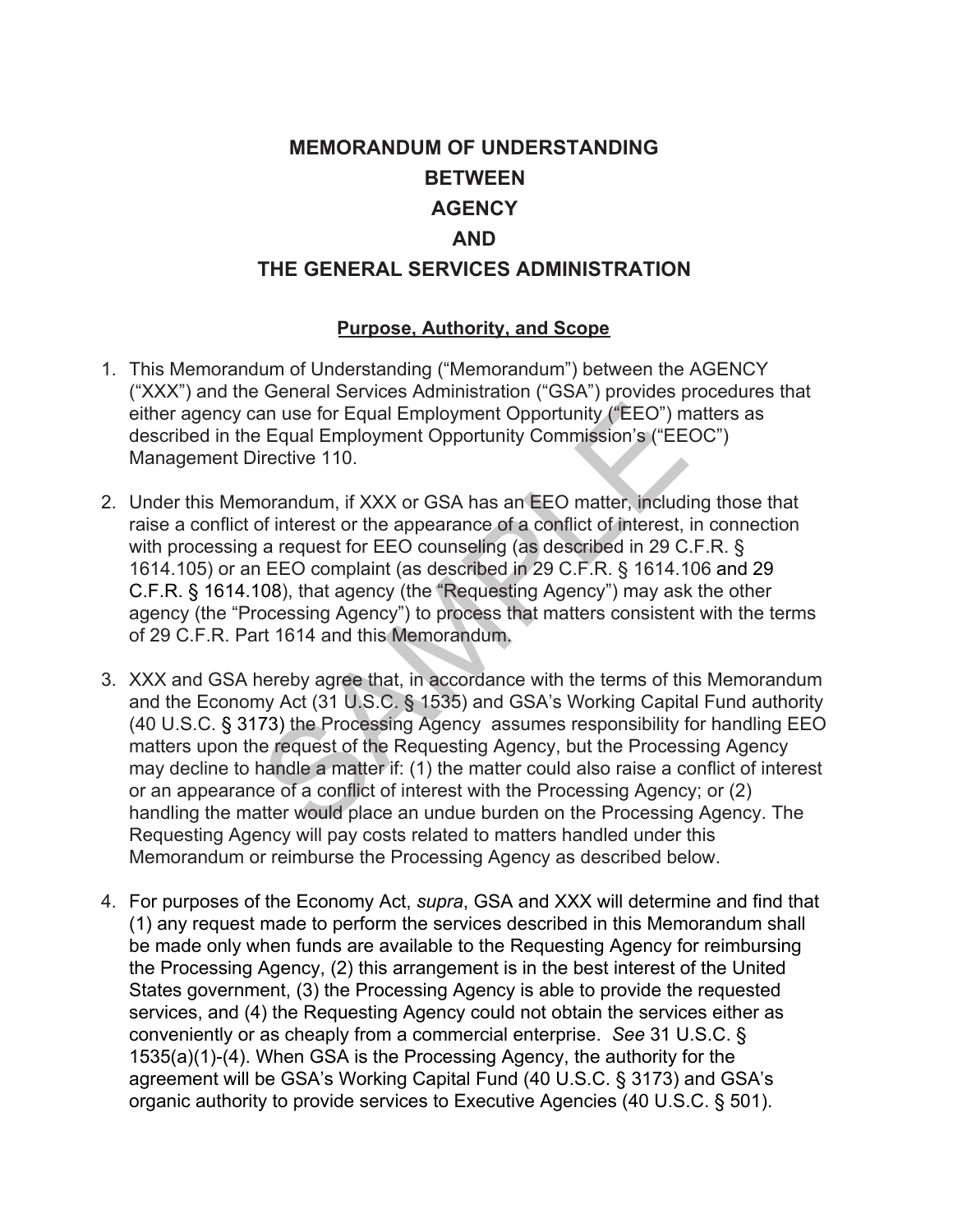# **MEMORANDUM OF UNDERSTANDING BETWEEN AGENCY AND THE GENERAL SERVICES ADMINISTRATION**

#### **Purpose, Authority, and Scope**

- 1. This Memorandum of Understanding ("Memorandum") between the AGENCY ("XXX") and the General Services Administration ("GSA") provides procedures that either agency can use for Equal Employment Opportunity ("EEO") matters as described in the Equal Employment Opportunity Commission's ("EEOC") Management Directive 110.
- 2. Under this Memorandum, if XXX or GSA has an EEO matter, including those that raise a conflict of interest or the appearance of a conflict of interest, in connection with processing a request for EEO counseling (as described in 29 C.F.R. § 1614.105) or an EEO complaint (as described in 29 C.F.R. § 1614.106 and 29 C.F.R. § 1614.108), that agency (the "Requesting Agency") may ask the other agency (the "Processing Agency") to process that matters consistent with the terms of 29 C.F.R. Part 1614 and this Memorandum.
- an use for Equal Employment Opportunity ("EEO") m<br>
Equal Employment Opportunity Commission's ("EE<br>
irective 110.<br>
Iornandum, if XXX or GSA has an EEO matter, includi<br>
of interest or the appearance of a conflict of interest 3. XXX and GSA hereby agree that, in accordance with the terms of this Memorandum and the Economy Act (31 U.S.C. § 1535) and GSA's Working Capital Fund authority (40 U.S.C. § 3173) the Processing Agency assumes responsibility for handling EEO matters upon the request of the Requesting Agency, but the Processing Agency may decline to handle a matter if: (1) the matter could also raise a conflict of interest or an appearance of a conflict of interest with the Processing Agency; or (2) handling the matter would place an undue burden on the Processing Agency. The Requesting Agency will pay costs related to matters handled under this Memorandum or reimburse the Processing Agency as described below.
- 4. For purposes of the Economy Act, *supra*, GSA and XXX will determine and find that (1) any request made to perform the services described in this Memorandum shall be made only when funds are available to the Requesting Agency for reimbursing the Processing Agency, (2) this arrangement is in the best interest of the United States government, (3) the Processing Agency is able to provide the requested services, and (4) the Requesting Agency could not obtain the services either as conveniently or as cheaply from a commercial enterprise. *See* 31 U.S.C. § 1535(a)(1)-(4). When GSA is the Processing Agency, the authority for the agreement will be GSA's Working Capital Fund (40 U.S.C. § 3173) and GSA's organic authority to provide services to Executive Agencies (40 U.S.C. § 501).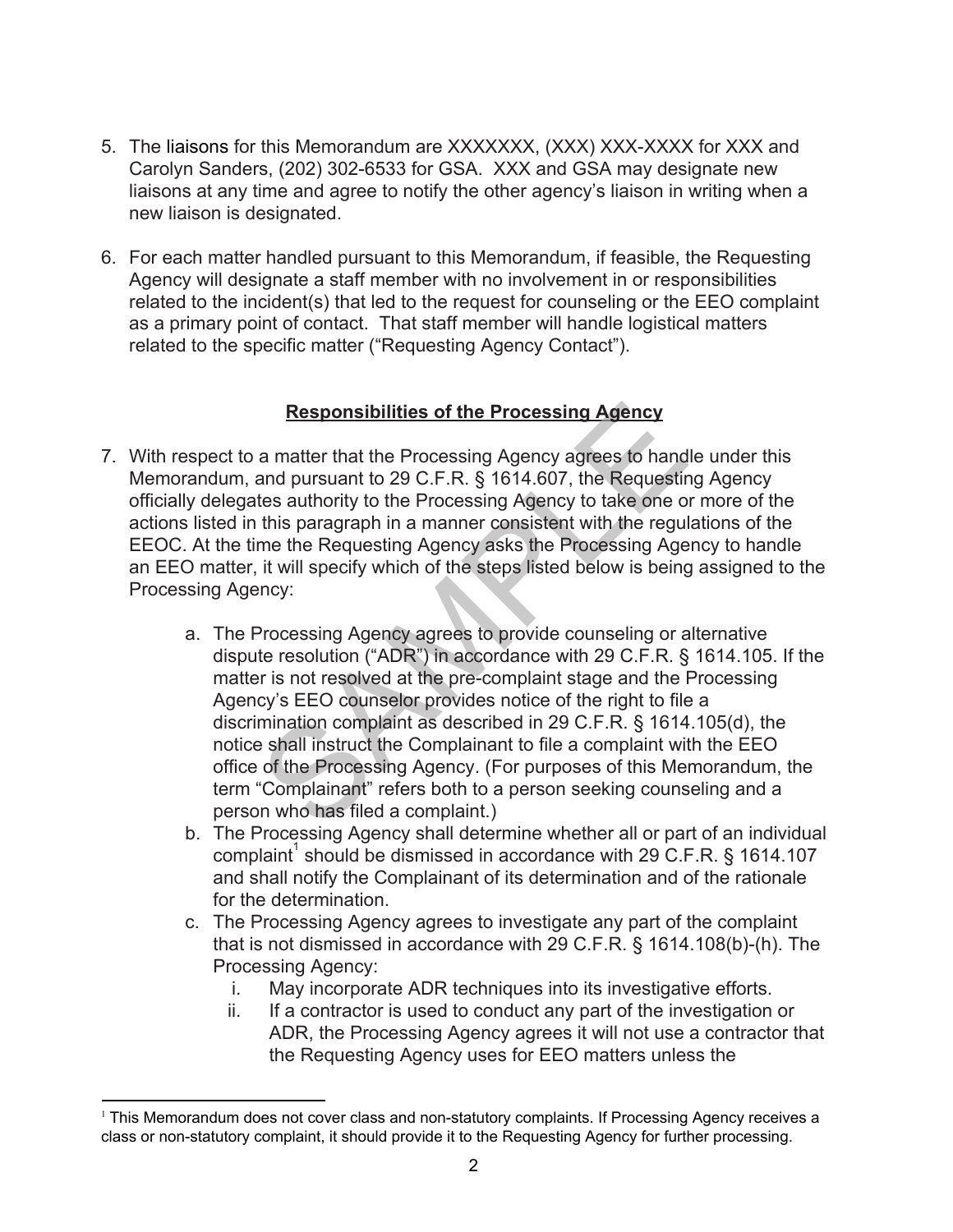- 5. The liaisons for this Memorandum are XXXXXXX, (XXX) XXX-XXXX for XXX and Carolyn Sanders, (202) 302-6533 for GSA. XXX and GSA may designate new liaisons at any time and agree to notify the other agency's liaison in writing when a new liaison is designated.
- 6. For each matter handled pursuant to this Memorandum, if feasible, the Requesting Agency will designate a staff member with no involvement in or responsibilities related to the incident(s) that led to the request for counseling or the EEO complaint as a primary point of contact. That staff member will handle logistical matters related to the specific matter ("Requesting Agency Contact").

### **Responsibilities of the Processing Agency**

- 7. With respect to a matter that the Processing Agency agrees to handle under this Memorandum, and pursuant to 29 C.F.R. § 1614.607, the Requesting Agency officially delegates authority to the Processing Agency to take one or more of the actions listed in this paragraph in a manner consistent with the regulations of the EEOC. At the time the Requesting Agency asks the Processing Agency to handle an EEO matter, it will specify which of the steps listed below is being assigned to the Processing Agency:
- **Responsibilities of the Processing Agency**<br>a matter that the Processing Agency agrees to hand<br>and pursuant to 29 C.F.R. § 1614.607, the Requestinces<br>tes authority to the Processing Agency to take one of<br>this paragraph in a. The Processing Agency agrees to provide counseling or alternative dispute resolution ("ADR") in accordance with 29 C.F.R. § 1614.105. If the matter is not resolved at the pre-complaint stage and the Processing Agency's EEO counselor provides notice of the right to file a discrimination complaint as described in 29 C.F.R. § 1614.105(d), the notice shall instruct the Complainant to file a complaint with the EEO office of the Processing Agency. (For purposes of this Memorandum, the term "Complainant" refers both to a person seeking counseling and a person who has filed a complaint.)
	- b. The Processing Agency shall determine whether all or part of an individual complaint<sup>1</sup> should be dismissed in accordance with 29 C.F.R. § 1614.107 and shall notify the Complainant of its determination and of the rationale for the determination.
	- c. The Processing Agency agrees to investigate any part of the complaint that is not dismissed in accordance with 29 C.F.R. § 1614.108(b)-(h). The Processing Agency:
		- i. May incorporate ADR techniques into its investigative efforts.
		- ii. If a contractor is used to conduct any part of the investigation or ADR, the Processing Agency agrees it will not use a contractor that the Requesting Agency uses for EEO matters unless the

<sup>1</sup> This Memorandum does not cover class and non-statutory complaints. If Processing Agency receives a class or non-statutory complaint, it should provide it to the Requesting Agency for further processing.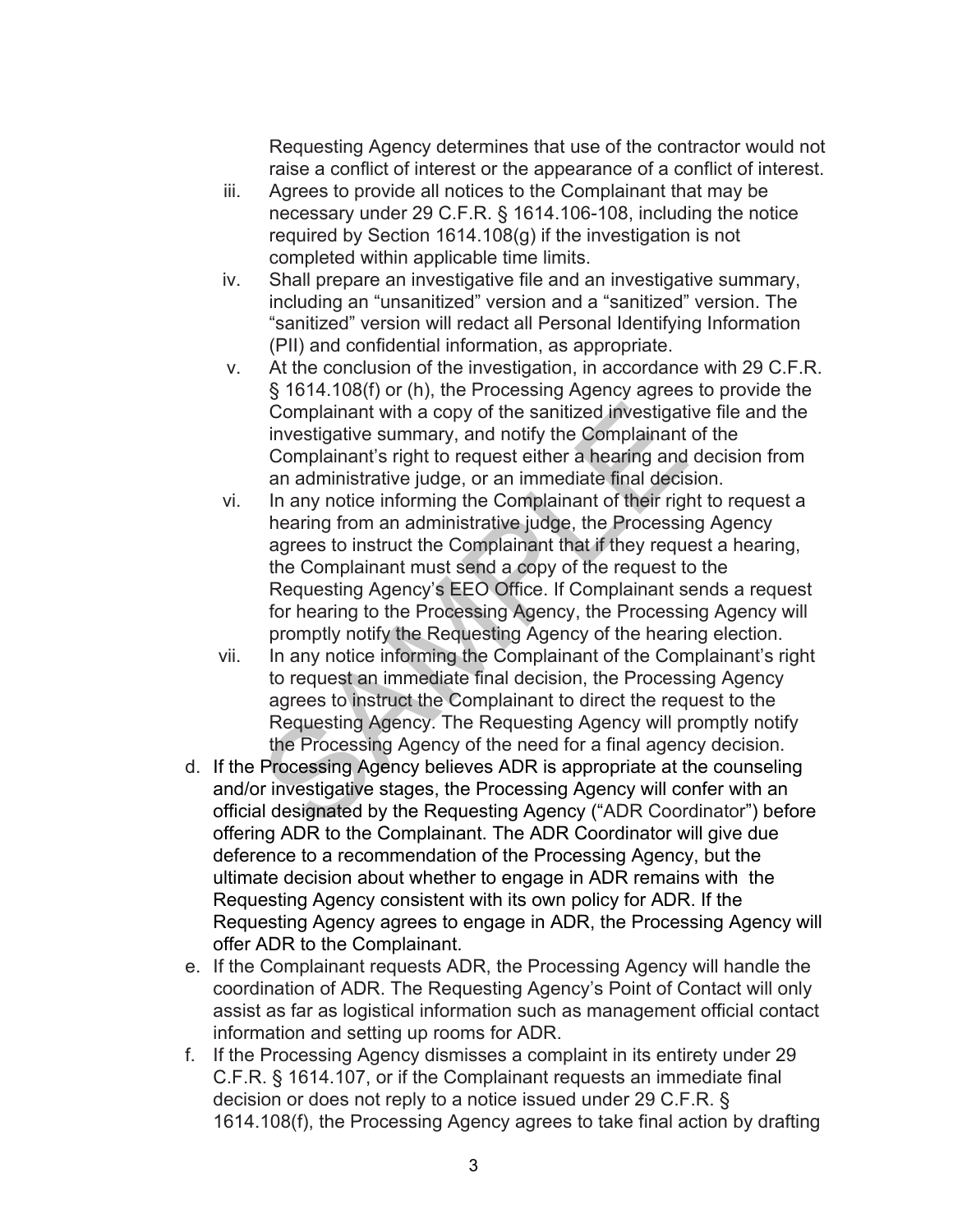Requesting Agency determines that use of the contractor would not raise a conflict of interest or the appearance of a conflict of interest.

- iii. Agrees to provide all notices to the Complainant that may be necessary under 29 C.F.R. § 1614.106-108, including the notice required by Section 1614.108(g) if the investigation is not completed within applicable time limits.
- iv. Shall prepare an investigative file and an investigative summary, including an "unsanitized" version and a "sanitized" version. The "sanitized" version will redact all Personal Identifying Information (PII) and confidential information, as appropriate.
- v. At the conclusion of the investigation, in accordance with 29 C.F.R. § 1614.108(f) or (h), the Processing Agency agrees to provide the Complainant with a copy of the sanitized investigative file and the investigative summary, and notify the Complainant of the Complainant's right to request either a hearing and decision from an administrative judge, or an immediate final decision.
- Complainant with a copy of the sanitized investigatian<br>investigative summary, and notify the Complainant<br>Complainant's right to request either a hearing and<br>an administrative judge, or an immediate final decis<br>In any notic vi. In any notice informing the Complainant of their right to request a hearing from an administrative judge, the Processing Agency agrees to instruct the Complainant that if they request a hearing, the Complainant must send a copy of the request to the Requesting Agency's EEO Office. If Complainant sends a request for hearing to the Processing Agency, the Processing Agency will promptly notify the Requesting Agency of the hearing election.
- vii. In any notice informing the Complainant of the Complainant's right to request an immediate final decision, the Processing Agency agrees to instruct the Complainant to direct the request to the Requesting Agency. The Requesting Agency will promptly notify the Processing Agency of the need for a final agency decision.
- d. If the Processing Agency believes ADR is appropriate at the counseling and/or investigative stages, the Processing Agency will confer with an official designated by the Requesting Agency ("ADR Coordinator") before offering ADR to the Complainant. The ADR Coordinator will give due deference to a recommendation of the Processing Agency, but the ultimate decision about whether to engage in ADR remains with the Requesting Agency consistent with its own policy for ADR. If the Requesting Agency agrees to engage in ADR, the Processing Agency will offer ADR to the Complainant.
- e. If the Complainant requests ADR, the Processing Agency will handle the coordination of ADR. The Requesting Agency's Point of Contact will only assist as far as logistical information such as management official contact information and setting up rooms for ADR.
- f. If the Processing Agency dismisses a complaint in its entirety under 29 C.F.R. § 1614.107, or if the Complainant requests an immediate final decision or does not reply to a notice issued under 29 C.F.R. § 1614.108(f), the Processing Agency agrees to take final action by drafting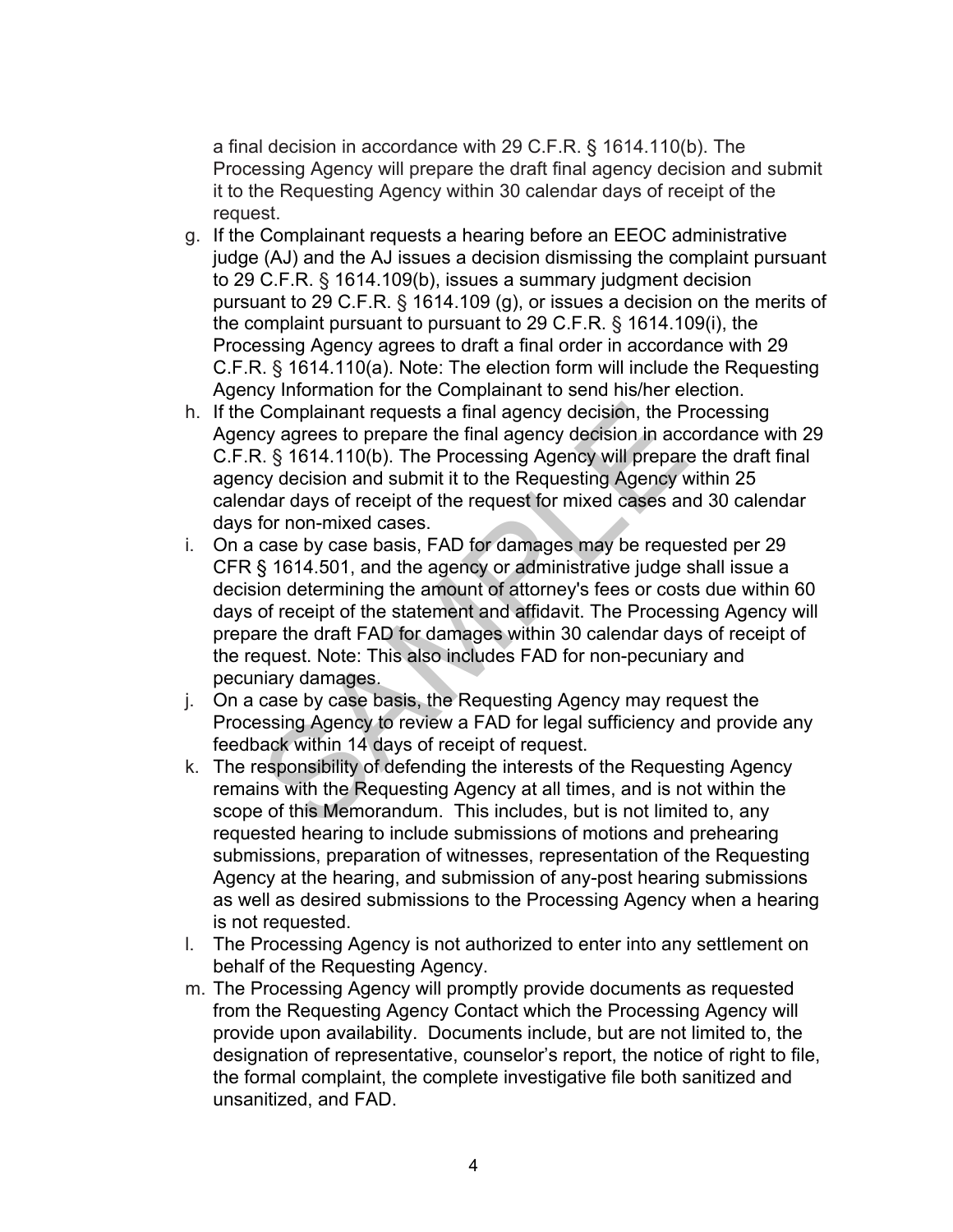a final decision in accordance with 29 C.F.R. § 1614.110(b). The Processing Agency will prepare the draft final agency decision and submit it to the Requesting Agency within 30 calendar days of receipt of the request.

- g. If the Complainant requests a hearing before an EEOC administrative judge (AJ) and the AJ issues a decision dismissing the complaint pursuant to 29 C.F.R. § 1614.109(b), issues a summary judgment decision pursuant to 29 C.F.R. § 1614.109 (g), or issues a decision on the merits of the complaint pursuant to pursuant to 29 C.F.R. § 1614.109(i), the Processing Agency agrees to draft a final order in accordance with 29 C.F.R. § 1614.110(a). Note: The election form will include the Requesting Agency Information for the Complainant to send his/her election.
- h. If the Complainant requests a final agency decision, the Processing Agency agrees to prepare the final agency decision in accordance with 29 C.F.R. § 1614.110(b). The Processing Agency will prepare the draft final agency decision and submit it to the Requesting Agency within 25 calendar days of receipt of the request for mixed cases and 30 calendar days for non-mixed cases.
- Complainant requests a final agency decision, the P<br>cy agrees to prepare the final agency decision in acc<br>a. § 1614.110(b). The Processing Agency will prepare<br>cy decision and submit it to the Requesting Agency vi<br>dar days i. On a case by case basis, FAD for damages may be requested per 29 CFR § 1614.501, and the agency or administrative judge shall issue a decision determining the amount of attorney's fees or costs due within 60 days of receipt of the statement and affidavit. The Processing Agency will prepare the draft FAD for damages within 30 calendar days of receipt of the request. Note: This also includes FAD for non-pecuniary and pecuniary damages.
- j. On a case by case basis, the Requesting Agency may request the Processing Agency to review a FAD for legal sufficiency and provide any feedback within 14 days of receipt of request.
- k. The responsibility of defending the interests of the Requesting Agency remains with the Requesting Agency at all times, and is not within the scope of this Memorandum. This includes, but is not limited to, any requested hearing to include submissions of motions and prehearing submissions, preparation of witnesses, representation of the Requesting Agency at the hearing, and submission of any-post hearing submissions as well as desired submissions to the Processing Agency when a hearing is not requested.
- l. The Processing Agency is not authorized to enter into any settlement on behalf of the Requesting Agency.
- m. The Processing Agency will promptly provide documents as requested from the Requesting Agency Contact which the Processing Agency will provide upon availability. Documents include, but are not limited to, the designation of representative, counselor's report, the notice of right to file, the formal complaint, the complete investigative file both sanitized and unsanitized, and FAD.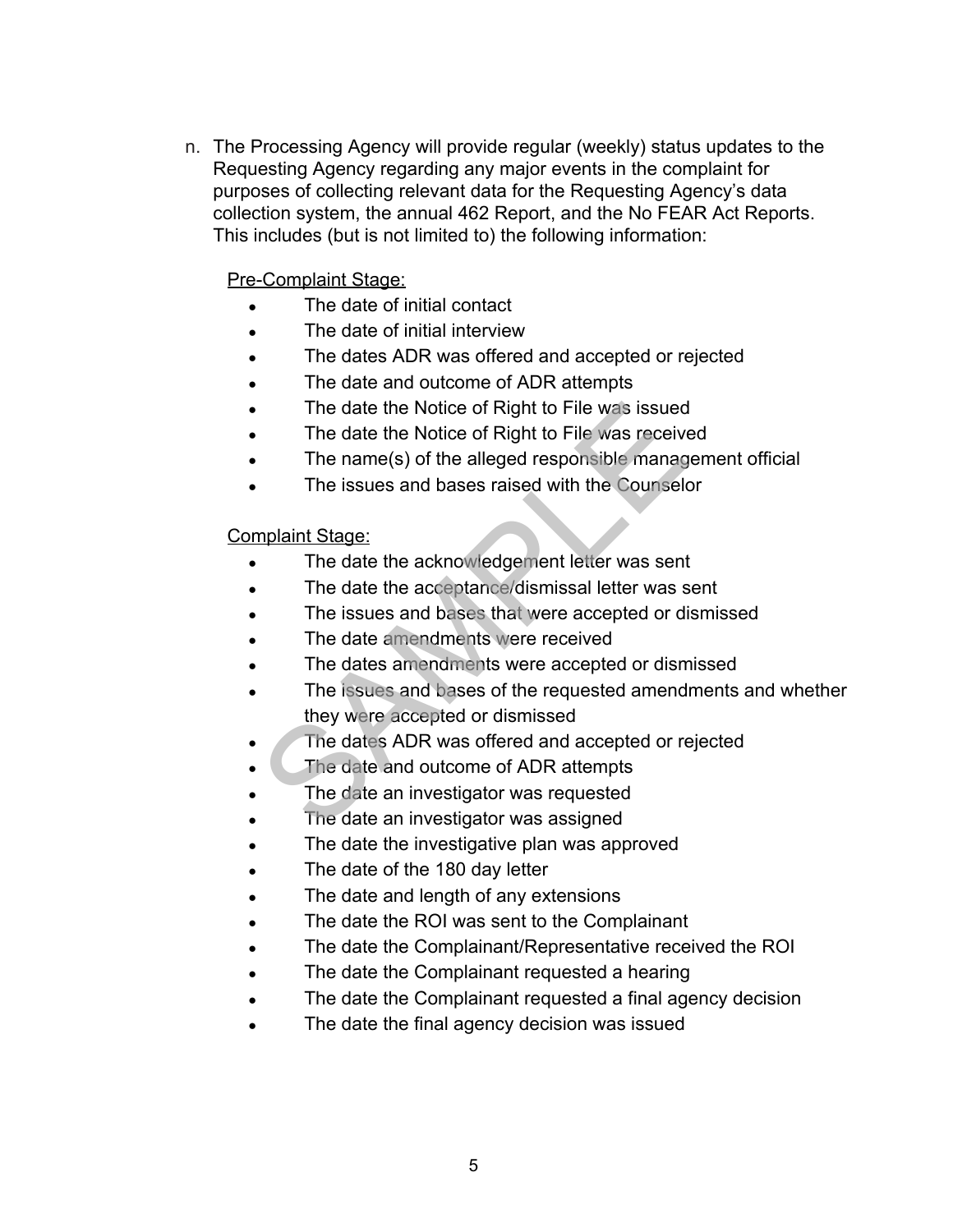n. The Processing Agency will provide regular (weekly) status updates to the Requesting Agency regarding any major events in the complaint for purposes of collecting relevant data for the Requesting Agency's data collection system, the annual 462 Report, and the No FEAR Act Reports. This includes (but is not limited to) the following information:

### Pre-Complaint Stage:

- The date of initial contact
- The date of initial interview
- The dates ADR was offered and accepted or rejected
- The date and outcome of ADR attempts
- The date the Notice of Right to File was issued
- The date the Notice of Right to File was received
- The name(s) of the alleged responsible management official
- The issues and bases raised with the Counselor

#### Complaint Stage:

- The date the acknowledgement letter was sent
- The date the acceptance/dismissal letter was sent
- The issues and bases that were accepted or dismissed
- The date amendments were received
- The dates amendments were accepted or dismissed
- The issues and bases of the requested amendments and whether they were accepted or dismissed The date the Notice of Right to File was issued<br>The date the Notice of Right to File was receive<br>The name(s) of the alleged responsible manag<br>The issues and bases raised with the Counselon<br>mplaint Stage:<br>The date the ackno
- The dates ADR was offered and accepted or rejected
- The date and outcome of ADR attempts
- The date an investigator was requested
- The date an investigator was assigned
- The date the investigative plan was approved
- The date of the 180 day letter
- The date and length of any extensions
- The date the ROI was sent to the Complainant
- The date the Complainant/Representative received the ROI
- The date the Complainant requested a hearing
- The date the Complainant requested a final agency decision
- The date the final agency decision was issued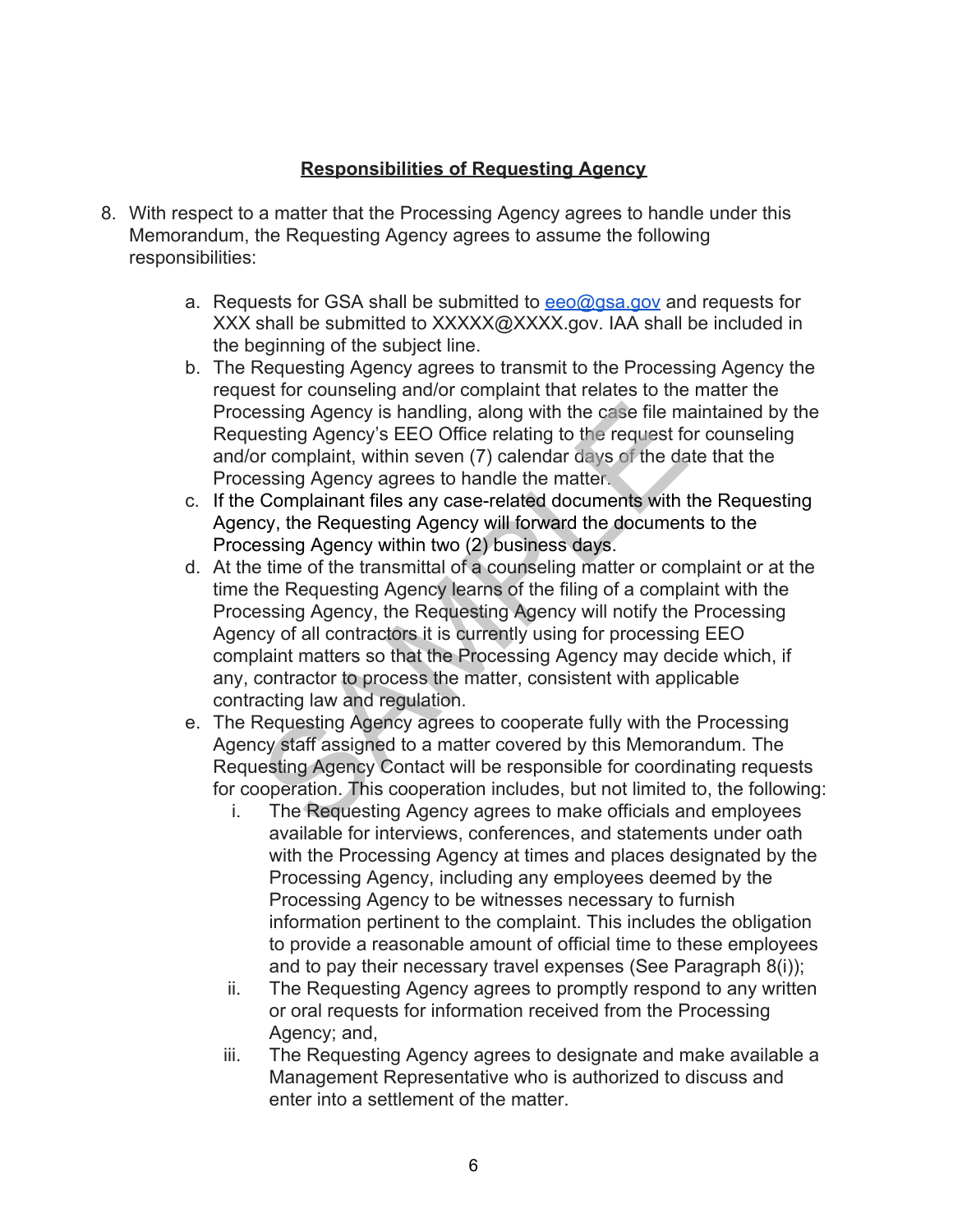## **Responsibilities of Requesting Agency**

- 8. With respect to a matter that the Processing Agency agrees to handle under this Memorandum, the Requesting Agency agrees to assume the following responsibilities:
	- a. Requests for GSA shall be submitted to  $eeo@gsa.gov$  and requests for XXX shall be submitted to [XXXXX@XXXX.gov.](mailto:XXXXX@XXXX.gov) IAA shall be included in the beginning of the subject line.
	- b. The Requesting Agency agrees to transmit to the Processing Agency the request for counseling and/or complaint that relates to the matter the Processing Agency is handling, along with the case file maintained by the Requesting Agency's EEO Office relating to the request for counseling and/or complaint, within seven (7) calendar days of the date that the Processing Agency agrees to handle the matter.
	- c. If the Complainant files any case-related documents with the Requesting Agency, the Requesting Agency will forward the documents to the Processing Agency within two (2) business days.
	- essing Agency is handling, along with the case file metting Agency's EEO Office relating to the request for complaint, within seven (7) calendar days of the dassing Agency agrees to handle the matter. Complainant files any d. At the time of the transmittal of a counseling matter or complaint or at the time the Requesting Agency learns of the filing of a complaint with the Processing Agency, the Requesting Agency will notify the Processing Agency of all contractors it is currently using for processing EEO complaint matters so that the Processing Agency may decide which, if any, contractor to process the matter, consistent with applicable contracting law and regulation.
	- e. The Requesting Agency agrees to cooperate fully with the Processing Agency staff assigned to a matter covered by this Memorandum. The Requesting Agency Contact will be responsible for coordinating requests for cooperation. This cooperation includes, but not limited to, the following:
		- i. The Requesting Agency agrees to make officials and employees available for interviews, conferences, and statements under oath with the Processing Agency at times and places designated by the Processing Agency, including any employees deemed by the Processing Agency to be witnesses necessary to furnish information pertinent to the complaint. This includes the obligation to provide a reasonable amount of official time to these employees and to pay their necessary travel expenses (See Paragraph 8(i));
		- ii. The Requesting Agency agrees to promptly respond to any written or oral requests for information received from the Processing Agency; and,
		- iii. The Requesting Agency agrees to designate and make available a Management Representative who is authorized to discuss and enter into a settlement of the matter.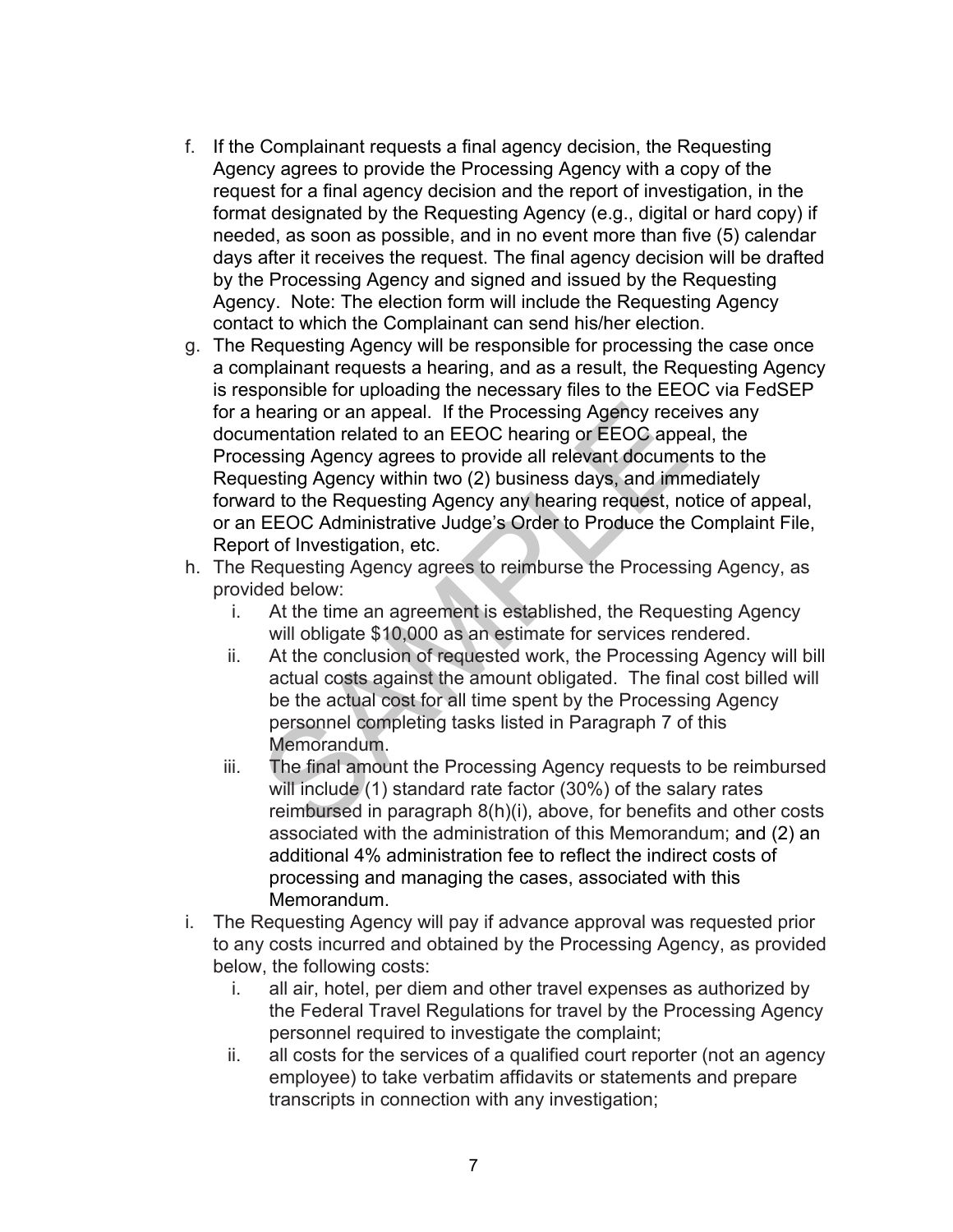- f. If the Complainant requests a final agency decision, the Requesting Agency agrees to provide the Processing Agency with a copy of the request for a final agency decision and the report of investigation, in the format designated by the Requesting Agency (e.g., digital or hard copy) if needed, as soon as possible, and in no event more than five (5) calendar days after it receives the request. The final agency decision will be drafted by the Processing Agency and signed and issued by the Requesting Agency. Note: The election form will include the Requesting Agency contact to which the Complainant can send his/her election.
- hearing or an appeal. If the Processing Agency rece<br>mentation related to an EEOC hearing or EEOC appessing Agency agrees to provide all relevant docume<br>esting Agency agrees to provide all relevant docume<br>esting Agency with g. The Requesting Agency will be responsible for processing the case once a complainant requests a hearing, and as a result, the Requesting Agency is responsible for uploading the necessary files to the EEOC via FedSEP for a hearing or an appeal. If the Processing Agency receives any documentation related to an EEOC hearing or EEOC appeal, the Processing Agency agrees to provide all relevant documents to the Requesting Agency within two (2) business days, and immediately forward to the Requesting Agency any hearing request, notice of appeal, or an EEOC Administrative Judge's Order to Produce the Complaint File, Report of Investigation, etc.
- h. The Requesting Agency agrees to reimburse the Processing Agency, as provided below:
	- i. At the time an agreement is established, the Requesting Agency will obligate \$10,000 as an estimate for services rendered.
	- ii. At the conclusion of requested work, the Processing Agency will bill actual costs against the amount obligated. The final cost billed will be the actual cost for all time spent by the Processing Agency personnel completing tasks listed in Paragraph 7 of this Memorandum.
	- iii. The final amount the Processing Agency requests to be reimbursed will include (1) standard rate factor (30%) of the salary rates reimbursed in paragraph 8(h)(i), above, for benefits and other costs associated with the administration of this Memorandum; and (2) an additional 4% administration fee to reflect the indirect costs of processing and managing the cases, associated with this Memorandum.
- i. The Requesting Agency will pay if advance approval was requested prior to any costs incurred and obtained by the Processing Agency, as provided below, the following costs:
	- i. all air, hotel, per diem and other travel expenses as authorized by the Federal Travel Regulations for travel by the Processing Agency personnel required to investigate the complaint;
	- ii. all costs for the services of a qualified court reporter (not an agency employee) to take verbatim affidavits or statements and prepare transcripts in connection with any investigation;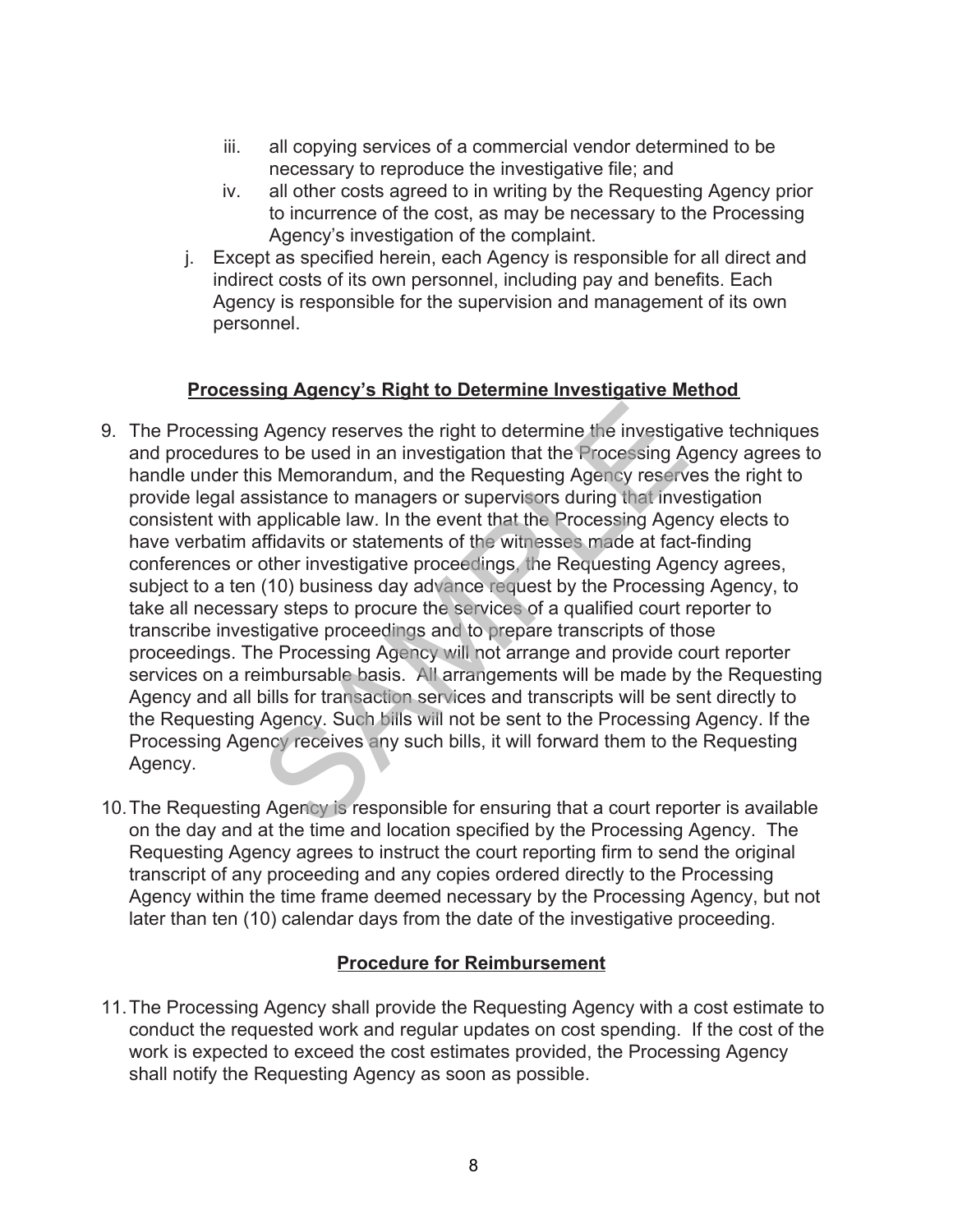- iii. all copying services of a commercial vendor determined to be necessary to reproduce the investigative file; and
- iv. all other costs agreed to in writing by the Requesting Agency prior to incurrence of the cost, as may be necessary to the Processing Agency's investigation of the complaint.
- j. Except as specified herein, each Agency is responsible for all direct and indirect costs of its own personnel, including pay and benefits. Each Agency is responsible for the supervision and management of its own personnel.

# **Processing Agency's Right to Determine Investigative Method**

- 9. The Processing Agency reserves the right to determine the investigative techniques and procedures to be used in an investigation that the Processing Agency agrees to handle under this Memorandum, and the Requesting Agency reserves the right to provide legal assistance to managers or supervisors during that investigation consistent with applicable law. In the event that the Processing Agency elects to have verbatim affidavits or statements of the witnesses made at fact-finding conferences or other investigative proceedings, the Requesting Agency agrees, subject to a ten (10) business day advance request by the Processing Agency, to take all necessary steps to procure the services of a qualified court reporter to transcribe investigative proceedings and to prepare transcripts of those proceedings. The Processing Agency will not arrange and provide court reporter services on a reimbursable basis. All arrangements will be made by the Requesting Agency and all bills for transaction services and transcripts will be sent directly to the Requesting Agency. Such bills will not be sent to the Processing Agency. If the Processing Agency receives any such bills, it will forward them to the Requesting Agency. Agency reserves the right to determine the investigation to be used in an investigation that the Processing A<br>is Memorandum, and the Requesting Agency reservesistance to managers or supervisors during that inve<br>applicable
- 10.The Requesting Agency is responsible for ensuring that a court reporter is available on the day and at the time and location specified by the Processing Agency. The Requesting Agency agrees to instruct the court reporting firm to send the original transcript of any proceeding and any copies ordered directly to the Processing Agency within the time frame deemed necessary by the Processing Agency, but not later than ten (10) calendar days from the date of the investigative proceeding.

### **Procedure for Reimbursement**

11.The Processing Agency shall provide the Requesting Agency with a cost estimate to conduct the requested work and regular updates on cost spending. If the cost of the work is expected to exceed the cost estimates provided, the Processing Agency shall notify the Requesting Agency as soon as possible.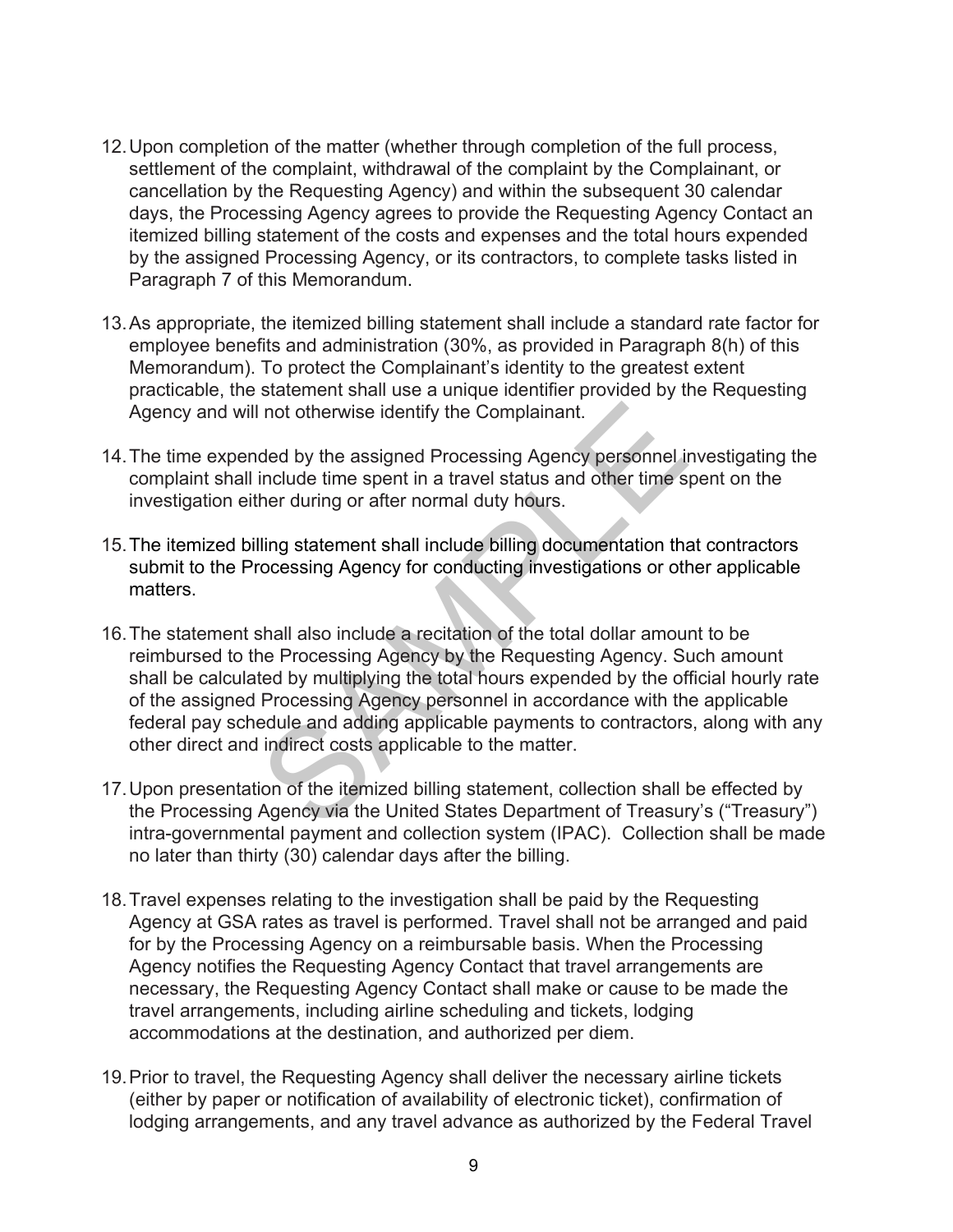- 12.Upon completion of the matter (whether through completion of the full process, settlement of the complaint, withdrawal of the complaint by the Complainant, or cancellation by the Requesting Agency) and within the subsequent 30 calendar days, the Processing Agency agrees to provide the Requesting Agency Contact an itemized billing statement of the costs and expenses and the total hours expended by the assigned Processing Agency, or its contractors, to complete tasks listed in Paragraph 7 of this Memorandum.
- 13.As appropriate, the itemized billing statement shall include a standard rate factor for employee benefits and administration (30%, as provided in Paragraph 8(h) of this Memorandum). To protect the Complainant's identity to the greatest extent practicable, the statement shall use a unique identifier provided by the Requesting Agency and will not otherwise identify the Complainant.
- 14.The time expended by the assigned Processing Agency personnel investigating the complaint shall include time spent in a travel status and other time spent on the investigation either during or after normal duty hours.
- 15.The itemized billing statement shall include billing documentation that contractors submit to the Processing Agency for conducting investigations or other applicable matters.
- In the otherwise identify the Complainant.<br>
ded by the assigned Processing Agency personnel include time spent in a travel status and other time s<br>
tinclude time spent in a travel status and other time s<br>
lling statement s 16.The statement shall also include a recitation of the total dollar amount to be reimbursed to the Processing Agency by the Requesting Agency. Such amount shall be calculated by multiplying the total hours expended by the official hourly rate of the assigned Processing Agency personnel in accordance with the applicable federal pay schedule and adding applicable payments to contractors, along with any other direct and indirect costs applicable to the matter.
- intra-governmental payment and collection system (IPAC). Collection shall be made 17.Upon presentation of the itemized billing statement, collection shall be effected by the Processing Agency via the United States Department of Treasury's ("Treasury") no later than thirty (30) calendar days after the billing.
- 18.Travel expenses relating to the investigation shall be paid by the Requesting Agency at GSA rates as travel is performed. Travel shall not be arranged and paid for by the Processing Agency on a reimbursable basis. When the Processing Agency notifies the Requesting Agency Contact that travel arrangements are necessary, the Requesting Agency Contact shall make or cause to be made the travel arrangements, including airline scheduling and tickets, lodging accommodations at the destination, and authorized per diem.
- 19.Prior to travel, the Requesting Agency shall deliver the necessary airline tickets (either by paper or notification of availability of electronic ticket), confirmation of lodging arrangements, and any travel advance as authorized by the Federal Travel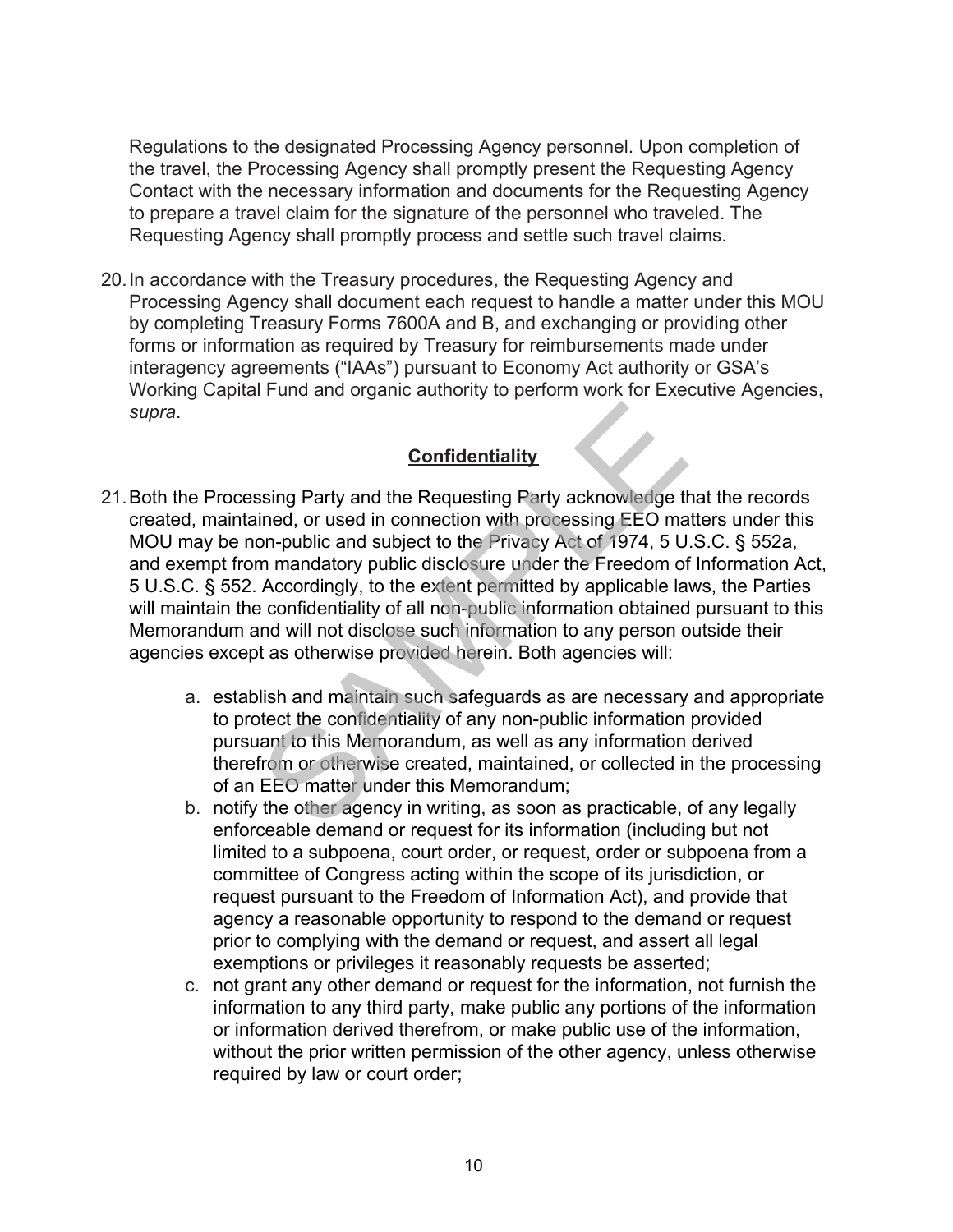Regulations to the designated Processing Agency personnel. Upon completion of the travel, the Processing Agency shall promptly present the Requesting Agency Contact with the necessary information and documents for the Requesting Agency to prepare a travel claim for the signature of the personnel who traveled. The Requesting Agency shall promptly process and settle such travel claims.

20.In accordance with the Treasury procedures, the Requesting Agency and Processing Agency shall document each request to handle a matter under this MOU by completing Treasury Forms 7600A and B, and exchanging or providing other forms or information as required by Treasury for reimbursements made under interagency agreements ("IAAs") pursuant to Economy Act authority or GSA's Working Capital Fund and organic authority to perform work for Executive Agencies, *supra*.

# **Confidentiality**

- 21.Both the Processing Party and the Requesting Party acknowledge that the records created, maintained, or used in connection with processing EEO matters under this MOU may be non-public and subject to the Privacy Act of 1974, 5 U.S.C. § 552a, and exempt from mandatory public disclosure under the Freedom of Information Act, 5 U.S.C. § 552. Accordingly, to the extent permitted by applicable laws, the Parties will maintain the confidentiality of all non-public information obtained pursuant to this Memorandum and will not disclose such information to any person outside their agencies except as otherwise provided herein. Both agencies will: **Confidentiality**<br>
Sometriality<br>
Sometriality<br>
Sometriality<br>
Sing Party and the Requesting Party acknowledge the<br>
ined, or used in connection with processing EEO ma<br>
on-public and subject to the Privacy Act of 1974, 5 U<br>
m
	- a. establish and maintain such safeguards as are necessary and appropriate to protect the confidentiality of any non-public information provided pursuant to this Memorandum, as well as any information derived therefrom or otherwise created, maintained, or collected in the processing of an EEO matter under this Memorandum;
	- b. notify the other agency in writing, as soon as practicable, of any legally enforceable demand or request for its information (including but not limited to a subpoena, court order, or request, order or subpoena from a committee of Congress acting within the scope of its jurisdiction, or request pursuant to the Freedom of Information Act), and provide that agency a reasonable opportunity to respond to the demand or request prior to complying with the demand or request, and assert all legal exemptions or privileges it reasonably requests be asserted;
	- c. not grant any other demand or request for the information, not furnish the information to any third party, make public any portions of the information or information derived therefrom, or make public use of the information, without the prior written permission of the other agency, unless otherwise required by law or court order;